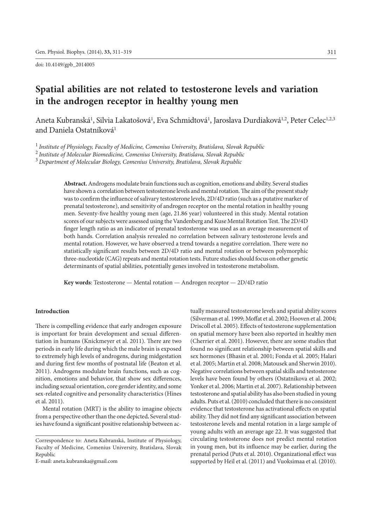doi: 10.4149/gpb\_2014005

# **Spatial abilities are not related to testosterone levels and variation in the androgen receptor in healthy young men**

Aneta Kubranská<sup>1</sup>, Silvia Lakatošová<sup>1</sup>, Eva Schmidtová<sup>1</sup>, Jaroslava Durdiaková<sup>1,2</sup>, Peter Celec<sup>1,2,3</sup> and Daniela Ostatníková1

<sup>1</sup>*Institute of Physiology, Faculty of Medicine, Comenius University, Bratislava, Slovak Republic*

<sup>2</sup>*Institute of Molecular Biomedicine, Comenius University, Bratislava, Slovak Republic*

<sup>3</sup>*Department of Molecular Biology, Comenius University, Bratislava, Slovak Republic*

**Abstract.** Androgens modulate brain functions such as cognition, emotions and ability. Several studies have shown a correlation between testosterone levels and mental rotation. The aim of the present study was to confirm the influence of salivary testosterone levels, 2D/4D ratio (such as a putative marker of prenatal testosterone), and sensitivity of androgen receptor on the mental rotation in healthy young men. Seventy-five healthy young men (age, 21.86 year) volunteered in this study. Mental rotation scores of our subjects were assessed using the Vandenberg and Kuse Mental Rotation Test. The 2D/4D finger length ratio as an indicator of prenatal testosterone was used as an average measurement of both hands. Correlation analysis revealed no correlation between salivary testosterone levels and mental rotation. However, we have observed a trend towards a negative correlation. There were no statistically significant results between 2D/4D ratio and mental rotation or between polymorphic three-nucleotide (CAG) repeats and mental rotation tests. Future studies should focus on other genetic determinants of spatial abilities, potentially genes involved in testosterone metabolism.

**Key words**: Testosterone — Mental rotation — Androgen receptor — 2D/4D ratio

## **Introduction**

There is compelling evidence that early androgen exposure is important for brain development and sexual differentiation in humans (Knickmeyer et al. 2011). There are two periods in early life during which the male brain is exposed to extremely high levels of androgens, during midgestation and during first few months of postnatal life (Beaton et al. 2011). Androgens modulate brain functions, such as cognition, emotions and behavior, that show sex differences, including sexual orientation, core gender identity, and some sex-related cognitive and personality characteristics (Hines et al. 2011).

Mental rotation (MRT) is the ability to imagine objects from a perspective other than the one depicted**.** Several studies have found a significant positive relationship between ac-

E-mail: aneta.kubranska@gmail.com

tually measured testosterone levels and spatial ability scores (Silverman et al. 1999; Moffat et al. 2002; Hooven et al. 2004; Driscoll et al. 2005). Effects of testosterone supplementation on spatial memory have been also reported in healthy men (Cherrier et al. 2001). However, there are some studies that found no significant relationship between spatial skills and sex hormones (Bhasin et al. 2001; Fonda et al. 2005; Halari et al. 2005; Martin et al. 2008; Matousek and Sherwin 2010). Negative correlations between spatial skills and testosterone levels have been found by others (Ostatnikova et al. 2002; Yonker et al. 2006; Martin et al. 2007). Relationship between testosterone and spatial ability has also been studied in young adults. Puts et al. (2010) concluded that there is no consistent evidence that testosterone has activational effects on spatial ability. They did not find any significant association between testosterone levels and mental rotation in a large sample of young adults with an average age 22. It was suggested that circulating testosterone does not predict mental rotation in young men, but its influence may be earlier, during the prenatal period (Puts et al. 2010). Organizational effect was supported by Heil et al. (2011) and Vuoksimaa et al. (2010).

Correspondence to: Aneta Kubranská, Institute of Physiology, Faculty of Medicine, Comenius University, Bratislava, Slovak Republic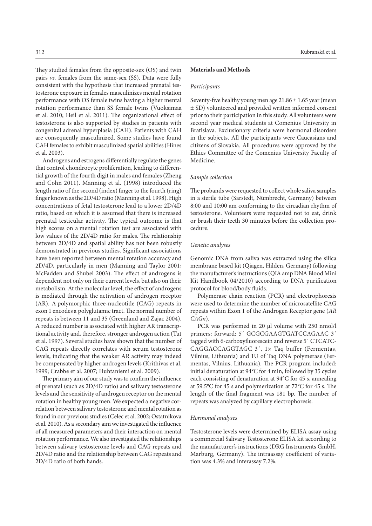They studied females from the opposite-sex (OS) and twin pairs *vs.* females from the same-sex (SS). Data were fully consistent with the hypothesis that increased prenatal testosterone exposure in females masculinizes mental rotation performance with OS female twins having a higher mental rotation performance than SS female twins (Vuoksimaa et al. 2010; Heil et al. 2011). The organizational effect of testosterone is also supported by studies in patients with congenital adrenal hyperplasia (CAH). Patients with CAH are consequently masculinized. Some studies have found CAH females to exhibit masculinized spatial abilities (Hines et al. 2003).

Androgens and estrogens differentially regulate the genes that control chondrocyte proliferation, leading to differential growth of the fourth digit in males and females (Zheng and Cohn 2011). Manning et al. (1998) introduced the length ratio of the second (index) finger to the fourth (ring) finger known as the 2D/4D ratio (Manning et al. 1998). High concentrations of fetal testosterone lead to a lower 2D/4D ratio, based on which it is assumed that there is increased prenatal testicular activity. The typical outcome is that high scores on a mental rotation test are associated with low values of the 2D/4D ratio for males. The relationship between 2D/4D and spatial ability has not been robustly demonstrated in previous studies. Significant associations have been reported between mental rotation accuracy and 2D/4D, particularly in men (Manning and Taylor 2001; McFadden and Shubel 2003). The effect of androgens is dependent not only on their current levels, but also on their metabolism. At the molecular level, the effect of androgens is mediated through the activation of androgen receptor (AR). A polymorphic three-nucleotide (CAG) repeats in exon 1 encodes a polyglutamic tract. The normal number of repeats is between 11 and 35 (Greenland and Zajac 2004). A reduced number is associated with higher AR transcriptional activity and, therefore, stronger androgen action (Tut et al. 1997). Several studies have shown that the number of CAG repeats directly correlates with serum testosterone levels, indicating that the weaker AR activity may indeed be compensated by higher androgen levels (Krithivas et al. 1999; Crabbe et al. 2007; Huhtaniemi et al. 2009).

The primary aim of our study was to confirm the influence of prenatal (such as 2D/4D ratio) and salivary testosterone levels and the sensitivity of androgen receptor on the mental rotation in healthy young men. We expected a negative correlation between salivary testosterone and mental rotation as found in our previous studies (Celec et al. 2002; Ostatnikova et al. 2010). As a secondary aim we investigated the influence of all measured parameters and their interaction on mental rotation performance. We also investigated the relationships between salivary testosterone levels and CAG repeats and 2D/4D ratio and the relationship between CAG repeats and 2D/4D ratio of both hands.

#### **Materials and Methods**

#### *Participants*

Seventy-five healthy young men age  $21.86 \pm 1.65$  year (mean ± SD) volunteered and provided written informed consent prior to their participation in this study. All volunteers were second year medical students at Comenius University in Bratislava. Exclusionary criteria were hormonal disorders in the subjects. All the participants were Caucasians and citizens of Slovakia. All procedures were approved by the Ethics Committee of the Comenius University Faculty of Medicine.

## *Sample collection*

The probands were requested to collect whole saliva samples in a sterile tube (Sarstedt, Nümbrecht, Germany) between 8:00 and 10:00 am conforming to the circadian rhythm of testosterone. Volunteers were requested not to eat, drink or brush their teeth 30 minutes before the collection procedure.

#### *Genetic analyses*

Genomic DNA from saliva was extracted using the silica membrane based kit (Qiagen, Hilden, Germany) following the manufacturer's instructions (QIA amp DNA Blood Mini Kit Handbook 04/2010) according to DNA purification protocol for blood/body fluids.

Polymerase chain reaction (PCR) and electrophoresis were used to determine the number of microsatellite CAG repeats within Exon 1 of the Androgen Receptor gene (*AR CAGn*).

PCR was performed in 20 µl volume with 250 nmol/l primers: forward: *5*´ GCGCGAAGTGATCCAGAAC 3´ tagged with 6*-*carboxyfluorescein and reverse 5´ CTCATC-CAGGACCAGGTAGC 3´, 1× Taq buffer (Fermentas, Vilnius, Lithuania) and 1U of Taq DNA polymerase (Fermentas, Vilnius, Lithuania). The PCR program included: initial denaturation at 94°C for 4 min, followed by 35 cycles each consisting of denaturation at 94°C for 45 s, annealing at 59.5°C for 45 s and polymerization at 72°C for 45 s. The length of the final fragment was 181 bp. The number of repeats was analyzed by capillary electrophoresis.

#### *Hormonal analyses*

Testosterone levels were determined by ELISA assay using a commercial Salivary Testosterone ELISA kit according to the manufacturer's instructions (DRG Instruments GmbH, Marburg, Germany). The intraassay coefficient of variation was 4.3% and interassay 7.2%.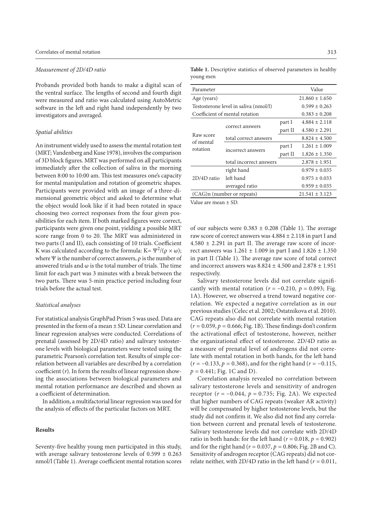### *Measurement of 2D/4D ratio*

Probands provided both hands to make a digital scan of the ventral surface. The lengths of second and fourth digit were measured and ratio was calculated using AutoMetric software in the left and right hand independently by two investigators and averaged.

#### *Spatial abilities*

An instrument widely used to assess the mental rotation test (MRT; Vandenberg and Kuse 1978), involves the comparison of 3D block figures. MRT was performed on all participants immediately after the collection of saliva in the morning between 8:00 to 10:00 am. This test measures one's capacity for mental manipulation and rotation of geometric shapes. Participants were provided with an image of a three-dimensional geometric object and asked to determine what the object would look like if it had been rotated in space choosing two correct responses from the four given possibilities for each item. If both marked figures were correct, participants were given one point, yielding a possible MRT score range from 0 to 20. The MRT was administered in two parts (I and II), each consisting of 10 trials. Coefficient K was calculated according to the formula: K=  $\Psi^2/(\rho \times \omega)$ ; where  $\Psi$  is the number of correct answers,  $\rho$  is the number of answered trials and  $\omega$  is the total number of trials. The time limit for each part was 3 minutes with a break between the two parts. There was 5-min practice period including four trials before the actual test.

## *Statistical analyses*

For statistical analysis GraphPad Prism 5 was used. Data are presented in the form of a mean ± SD. Linear correlation and linear regression analyses were conducted. Correlations of prenatal (assessed by 2D/4D ratio) and salivary testosterone levels with biological parameters were tested using the parametric Pearson's correlation test. Results of simple correlation between all variables are described by a correlation coefficient (*r*). In form the results of linear regression showing the associations between biological parameters and mental rotation performance are described and shown as a coefficient of determination.

In addition, a multifactorial linear regression was used for the analysis of effects of the particular factors on MRT.

## **Results**

Seventy-five healthy young men participated in this study, with average salivary testosterone levels of  $0.599 \pm 0.263$ nmol/l (Table 1). Average coefficient mental rotation scores

|           | Table 1. Descriptive statistics of observed parameters in healthy |  |  |  |
|-----------|-------------------------------------------------------------------|--|--|--|
| young men |                                                                   |  |  |  |

| Parameter                             | Value                   |                    |                   |  |
|---------------------------------------|-------------------------|--------------------|-------------------|--|
| Age (years)                           | $21.860 \pm 1.650$      |                    |                   |  |
| Testosterone level in saliva (nmol/l) |                         | $0.599 \pm 0.263$  |                   |  |
| Coefficient of mental rotation        |                         | $0.383 \pm 0.208$  |                   |  |
|                                       | correct answers         | part I             | $4.884 \pm 2.118$ |  |
|                                       |                         | part II            | $4.580 \pm 2.291$ |  |
| Raw score<br>of mental                | total correct answers   |                    | $8.824 \pm 4.500$ |  |
| rotation                              |                         | part I             | $1.261 \pm 1.009$ |  |
|                                       | incorrect answers       | part II            | $1.826 \pm 1.350$ |  |
|                                       | total incorrect answers |                    | $2.878 \pm 1.951$ |  |
|                                       | right hand              | $0.979 \pm 0.035$  |                   |  |
| 2D/4D ratio                           | left hand               |                    | $0.975 \pm 0.033$ |  |
|                                       | averaged ratio          | $0.959 \pm 0.035$  |                   |  |
| (CAG)n (number or repeats)            |                         | $21.541 \pm 3.123$ |                   |  |

Value are mean ± SD.

of our subjects were  $0.383 \pm 0.208$  (Table 1). The average raw score of correct answers was 4.884 ± 2.118 in part I and  $4.580 \pm 2.291$  in part II. The average raw score of incorrect answers was  $1.261 \pm 1.009$  in part I and  $1.826 \pm 1.350$ in part II (Table 1). The average raw score of total correct and incorrect answers was  $8.824 \pm 4.500$  and  $2.878 \pm 1.951$ respectively.

Salivary testosterone levels did not correlate significantly with mental rotation ( $r = -0.210$ ,  $p = 0.093$ ; Fig. 1A). However, we observed a trend toward negative correlation. We expected a negative correlation as in our previous studies (Celec et al. 2002; Ostatnikova et al. 2010). CAG repeats also did not correlate with mental rotation  $(r = 0.059, p = 0.666; Fig. 1B)$ . These findings don't confirm the activational effect of testosterone, however, neither the organizational effect of testosterone. 2D/4D ratio as a measure of prenatal level of androgens did not correlate with mental rotation in both hands, for the left hand (*r* = −0.133, *p =* 0.368), and for the right hand (*r* = −0.115, *p =* 0.441; Fig. 1C and D).

Correlation analysis revealed no correlation between salivary testosterone levels and sensitivity of androgen receptor ( $r = -0.044$ ,  $p = 0.735$ ; Fig. 2A). We expected that higher numbers of CAG repeats (weaker AR activity) will be compensated by higher testosterone levels, but the study did not confirm it. We also did not find any correlation between current and prenatal levels of testosterone. Salivary testosterone levels did not correlate with 2D/4D ratio in both hands: for the left hand ( $r = 0.018$ ,  $p = 0.902$ ) and for the right hand (*r* = 0.037, *p =* 0.806; Fig. 2B and C). Sensitivity of androgen receptor (CAG repeats) did not correlate neither, with 2D/4D ratio in the left hand ( $r = 0.011$ ,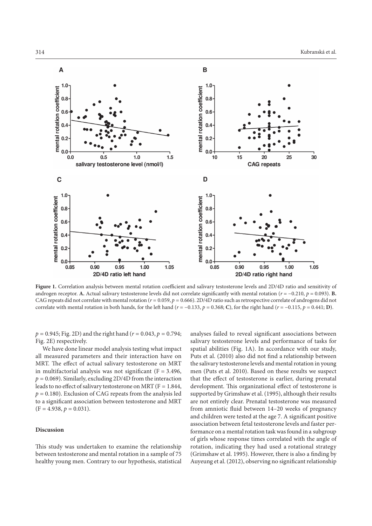

**Figure 1.** Correlation analysis between mental rotation coefficient and salivary testosterone levels and 2D/4D ratio and sensitivity of androgen receptor. **A.** Actual salivary testosterone levels did not correlate significantly with mental rotation ( $r = -0.210$ ,  $p = 0.093$ ). **B.** CAG repeats did not correlate with mental rotation (*r* = 0.059, *p =* 0.666). 2D/4D ratio such as retrospective correlate of androgens did not correlate with mental rotation in both hands, for the left hand ( $r = -0.133$ ,  $p = 0.368$ ; **C**), for the right hand ( $r = -0.115$ ,  $p = 0.441$ ; **D**).

*p =* 0.945; Fig. 2D) and the right hand (*r* = 0.043, *p =* 0.794; Fig. 2E) respectively.

We have done linear model analysis testing what impact all measured parameters and their interaction have on MRT. The effect of actual salivary testosterone on MRT in multifactorial analysis was not significant ( $F = 3.496$ , *p =* 0.069). Similarly, excluding 2D/4D from the interaction leads to no effect of salivary testosterone on MRT ( $F = 1.844$ , *p =* 0.180). Exclusion of CAG repeats from the analysis led to a significant association between testosterone and MRT  $(F = 4.938, p = 0.031).$ 

## **Discussion**

This study was undertaken to examine the relationship between testosterone and mental rotation in a sample of 75 healthy young men. Contrary to our hypothesis, statistical

analyses failed to reveal significant associations between salivary testosterone levels and performance of tasks for spatial abilities (Fig. 1A). In accordance with our study, Puts et al. (2010) also did not find a relationship between the salivary testosterone levels and mental rotation in young men (Puts et al. 2010). Based on these results we suspect that the effect of testosterone is earlier, during prenatal development. This organizational effect of testosterone is supported by Grimshaw et al. (1995), although their results are not entirely clear. Prenatal testosterone was measured from amniotic fluid between 14–20 weeks of pregnancy and children were tested at the age 7. A significant positive association between fetal testosterone levels and faster performance on a mental rotation task was found in a subgroup of girls whose response times correlated with the angle of rotation, indicating they had used a rotational strategy (Grimshaw et al. 1995). However, there is also a finding by Auyeung et al. (2012), observing no significant relationship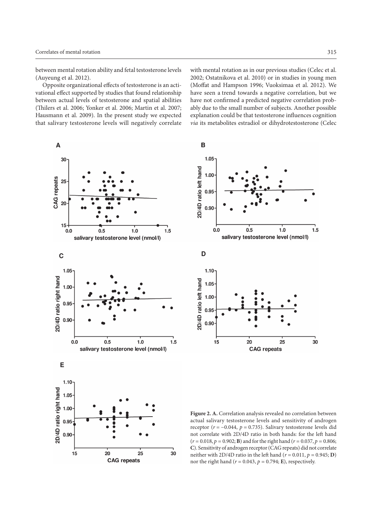between mental rotation ability and fetal testosterone levels (Auyeung et al. 2012).

Opposite organizational effects of testosterone is an activational effect supported by studies that found relationship between actual levels of testosterone and spatial abilities (Thilers et al. 2006; Yonker et al. 2006; Martin et al. 2007; Hausmann et al. 2009). In the present study we expected that salivary testosterone levels will negatively correlate

with mental rotation as in our previous studies (Celec et al. 2002; Ostatnikova et al. 2010) or in studies in young men (Moffat and Hampson 1996; Vuoksimaa et al. 2012). We have seen a trend towards a negative correlation, but we have not confirmed a predicted negative correlation probably due to the small number of subjects. Another possible explanation could be that testosterone influences cognition *via* its metabolites estradiol or dihydrotestosterone (Celec

 $1.05$ 

1.00

0.95

0.90

 $1.10<sup>1</sup>$ 

1.05

 $1.00$ 

0.95

0.90

 $15$ 

 $0.0$ 

 $0.5$ 

20

**CAG** repeats

salivary testosterone level (nmol/l)

 $1.0$ 

25

 $1.5$ 

30



**Figure 2. A.** Correlation analysis revealed no correlation between actual salivary testosterone levels and sensitivity of androgen receptor ( $r = -0.044$ ,  $p = 0.735$ ). Salivary testosterone levels did not correlate with 2D/4D ratio in both hands: for the left hand (*r* = 0.018, *p =* 0.902; **B**) and for the right hand (*r* = 0.037, *p =* 0.806; **C**). Sensitivity of androgen receptor (CAG repeats) did not correlate neither with 2D/4D ratio in the left hand ( $r = 0.011$ ,  $p = 0.945$ ; **D**) nor the right hand ( $r = 0.043$ ,  $p = 0.794$ ; **E**), respectively.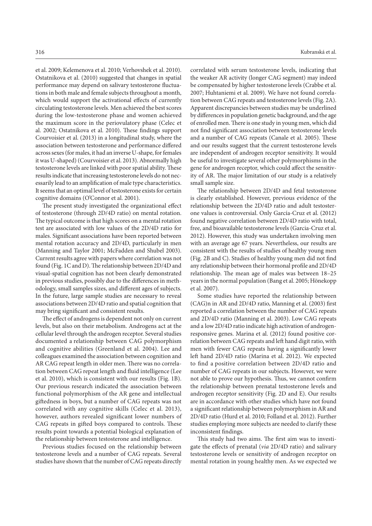et al. 2009; Kelemenova et al. 2010; Verhovshek et al. 2010). Ostatnikova et al. (2010) suggested that changes in spatial performance may depend on salivary testosterone fluctuations in both male and female subjects throughout a month, which would support the activational effects of currently circulating testosterone levels. Men achieved the best scores during the low-testosterone phase and women achieved the maximum score in the periovulatory phase (Celec et al. 2002; Ostatnikova et al. 2010). These findings support Courvoisier et al. (2013) in a longitudinal study, where the association between testosterone and performance differed across sexes (for males, it had an inverse U-shape, for females it was U-shaped) (Courvoisier et al. 2013). Abnormally high testosterone levels are linked with poor spatial ability. These results indicate that increasing testosterone levels do not necessarily lead to an amplification of male type characteristics. It seems that an optimal level of testosterone exists for certain cognitive domains (O'Connor et al. 2001).

The present study investigated the organizational effect of testosterone (through 2D/4D ratio) on mental rotation. The typical outcome is that high scores on a mental rotation test are associated with low values of the 2D/4D ratio for males. Significant associations have been reported between mental rotation accuracy and 2D/4D, particularly in men (Manning and Taylor 2001; McFadden and Shubel 2003). Current results agree with papers where correlation was not found (Fig. 1C and D). The relationship between 2D/4D and visual-spatial cognition has not been clearly demonstrated in previous studies, possibly due to the differences in methodology, small samples sizes, and different ages of subjects. In the future, large sample studies are necessary to reveal associations between 2D/4D ratio and spatial cognition that may bring significant and consistent results.

The effect of androgens is dependent not only on current levels, but also on their metabolism. Androgens act at the cellular level through the androgen receptor. Several studies documented a relationship between CAG polymorphism and cognitive abilities (Greenland et al. 2004). Lee and colleagues examined the association between cognition and AR CAG repeat length in older men. There was no correlation between CAG repeat length and fluid intelligence (Lee et al. 2010), which is consistent with our results (Fig. 1B). Our previous research indicated the association between functional polymorphism of the AR gene and intellectual giftedness in boys, but a number of CAG repeats was not correlated with any cognitive skills (Celec et al. 2013), however, authors revealed significant lower numbers of CAG repeats in gifted boys compared to controls. These results point towards a potential biological explanation of the relationship between testosterone and intelligence.

Previous studies focused on the relationship between testosterone levels and a number of CAG repeats. Several studies have shown that the number of CAG repeats directly correlated with serum testosterone levels, indicating that the weaker AR activity (longer CAG segment) may indeed be compensated by higher testosterone levels (Crabbe et al. 2007; Huhtaniemi et al. 2009). We have not found correlation between CAG repeats and testosterone levels (Fig. 2A). Apparent discrepancies between studies may be underlined by differences in population genetic background, and the age of enrolled men. There is one study in young men, which did not find significant association between testosterone levels and a number of CAG repeats (Canale et al. 2005). These and our results suggest that the current testosterone levels are independent of androgen receptor sensitivity. It would be useful to investigate several other polymorphisms in the gene for androgen receptor, which could affect the sensitivity of AR. The major limitation of our study is a relatively small sample size.

The relationship between 2D/4D and fetal testosterone is clearly established. However, previous evidence of the relationship between the 2D/4D ratio and adult testosterone values is controversial. Only García-Cruz et al. (2012) found negative correlation between 2D/4D ratio with total, free, and bioavailable testosterone levels (Garcia-Cruz et al. 2012). However, this study was undertaken involving men with an average age 67 years. Nevertheless, our results are consistent with the results of studies of healthy young men (Fig. 2B and C). Studies of healthy young men did not find any relationship between their hormonal profile and 2D/4D relationship. The mean age of males was between 18–25 years in the normal population (Bang et al. 2005; Hönekopp et al. 2007).

Some studies have reported the relationship between (CAG)n in AR and 2D/4D ratio, Manning et al. (2003) first reported a correlation between the number of CAG repeats and 2D/4D ratio (Manning et al. 2003). Low CAG repeats and a low 2D/4D ratio indicate high activation of androgenresponsive genes. Marina et al. (2012) found positive correlation between CAG repeats and left hand digit ratio, with men with fewer CAG repeats having a significantly lower left hand 2D/4D ratio (Marina et al. 2012). We expected to find a positive correlation between 2D/4D ratio and number of CAG repeats in our subjects. However, we were not able to prove our hypothesis. Thus, we cannot confirm the relationship between prenatal testosterone levels and androgen receptor sensitivity (Fig. 2D and E). Our results are in accordance with other studies which have not found a significant relationship between polymorphism in AR and 2D/4D ratio (Hurd et al. 2010; Folland et al. 2012). Further studies employing more subjects are needed to clarify these inconsistent findings.

This study had two aims. The first aim was to investigate the effects of prenatal (*via* 2D/4D ratio) and salivary testosterone levels or sensitivity of androgen receptor on mental rotation in young healthy men. As we expected we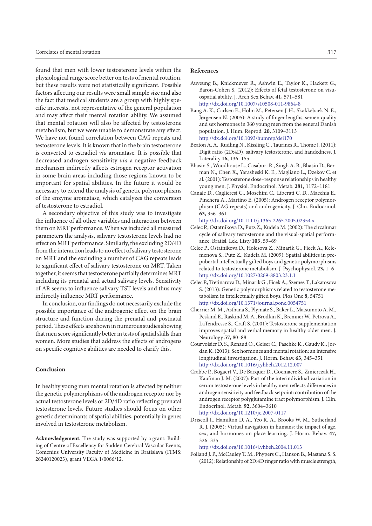found that men with lower testosterone levels within the physiological range score better on tests of mental rotation, but these results were not statistically significant. Possible factors affecting our results were small sample size and also the fact that medical students are a group with highly specific interests, not representative of the general population and may affect their mental rotation ability. We assumed that mental rotation will also be affected by testosterone metabolism, but we were unable to demonstrate any effect. We have not found correlation between CAG repeats and testosterone levels. It is known that in the brain testosterone is converted to estradiol *via* aromatase. It is possible that decreased androgen sensitivity *via* a negative feedback mechanism indirectly affects estrogen receptor activation in some brain areas including those regions known to be important for spatial abilities. In the future it would be necessary to extend the analysis of genetic polymorphisms of the enzyme aromatase, which catalyzes the conversion of testosterone to estradiol.

A secondary objective of this study was to investigate the influence of all other variables and interaction between them on MRT performance. When we included all measured parameters the analysis, salivary testosterone levels had no effect on MRT performance. Similarly, the excluding 2D/4D from the interaction leads to no effect of salivary testosterone on MRT and the excluding a number of CAG repeats leads to significant effect of salivary testosterone on MRT. Taken together, it seems that testosterone partially determines MRT including its prenatal and actual salivary levels. Sensitivity of AR seems to influence salivary TST levels and thus may indirectly influence MRT performance.

In conclusion, our findings do not necessarily exclude the possible importance of the androgenic effect on the brain structure and function during the prenatal and postnatal period. These effects are shown in numerous studies showing that men score significantly better in tests of spatial skills than women. More studies that address the effects of androgens on specific cognitive abilities are needed to clarify this.

## **Conclusion**

In healthy young men mental rotation is affected by neither the genetic polymorphisms of the androgen receptor nor by actual testosterone levels or 2D/4D ratio reflecting prenatal testosterone levels. Future studies should focus on other genetic determinants of spatial abilities, potentially in genes involved in testosterone metabolism.

**Acknowledgement.** The study was supported by a grant: Building of Centre of Excellency for Sudden Cerebral Vascular Events, Comenius University Faculty of Medicine in Bratislava (ITMS: 26240120023), grant VEGA 1/0066/12.

## **References**

- Auyeung B., Knickmeyer R., Ashwin E., Taylor K., Hackett G., Baron-Cohen S. (2012): Effects of fetal testosterone on visuospatial ability. J. Arch Sex Behav. **41,** 571–581 <http://dx.doi.org/10.1007/s10508-011-9864-8>
- Bang A. K., Carlsen E., Holm M., Petersen J. H., Skakkebaek N. E., Jørgensen N. (2005): A study of finger lengths, semen quality and sex hormones in 360 young men from the general Danish population. J. Hum. Reprod. **20,** 3109–3113 <http://dx.doi.org/10.1093/humrep/dei170>
- Beaton A. A., Rudling N., Kissling C., Taurines R., Thome J. (2011): Digit ratio (2D:4D), salivary testosterone, and handedness. J. Laterality **16,** 136–155
- Bhasin S., Woodhouse L., Casaburi R., Singh A. B., Bhasin D., Berman N., Chen X., Yarasheski K. E., Magliano L., Dzekov C. et al. (2001): Testosterone dose–response relationships in healthy young men. J. Physiol. Endocrinol. Metab. **281,** 1172–1181
- Canale D., Caglieresi C., Moschini C., Liberati C. D., Macchia E., Pinchera A., Martino E. (2005): Androgen receptor polymorphism (CAG repeats) and androgenicity. J. Clin. Endocrinol. **63,** 356–361

<http://dx.doi.org/10.1111/j.1365-2265.2005.02354.x>

- Celec P., Ostatnikova D., Putz Z., Kudela M. (2002): The circalunar cycle of salivary testosterone and the visual-spatial performance. Bratisl. Lek. Listy **103,** 59–69
- Celec P., Ostatnikova D., Holesova Z., Minarik G., Ficek A., Kelemenova S., Putz Z., Kudela M. (2009): Spatial abilities in prepubertal intellectually gifted boys and genetic polymorphisms related to testosterone metabolism. J. Psychophysiol. **23,** 1–6 <http://dx.doi.org/10.1027/0269-8803.23.1.1>
- Celec P., Tretinarova D., Minarik G., Ficek A., Szemes T., Lakatosova S. (2013): Genetic polymorphisms related to testosterone metabolism in intellectually gifted boys. Plos One **8,** 54751 <http://dx.doi.org/10.1371/journal.pone.0054751>
- Cherrier M. M., Asthana S., Plymate S., Baker L., Matsumoto A. M., Peskind E., Raskind M. A., Brodkin K., Bremner W., Petrova A., LaTendresse S., Craft S. (2001): Testosterone supplementation improves spatial and verbal memory in healthy older men. J. Neurology **57,** 80–88
- Courvoisier D. S., Renaud O., Geiser C., Paschke K., Gaudy K., Jordan K. (2013): Sex hormones and mental rotation: an intensive longitudinal investigation. J. Horm. Behav. **63,** 345–351 <http://dx.doi.org/10.1016/j.yhbeh.2012.12.007>
- Crabbe P., Bogaert V., De Bacquer D., Goemaere S., Zmierczak H., Kaufman J. M. (2007): Part of the interindividual variation in serum testosterone levels in healthy men reflects differences in androgen sensitivity and feedback setpoint: contribution of the androgen receptor polyglutamine tract polymorphism. J. Clin. Endocrinol. Metab. **92,** 3604–3610 <http://dx.doi.org/10.1210/jc.2007-0117>
- Driscoll I., Hamilton D. A., Yeo R. A., Brooks W. M., Sutherland R. J. (2005): Virtual navigation in humans: the impact of age, sex, and hormones on place learning. J. Horm. Behav. **47,** 326–335

<http://dx.doi.org/10.1016/j.yhbeh.2004.11.013>

Folland J. P., McCauley T. M., Phypers C., Hanson B., Mastana S. S. (2012): Relationship of 2D:4D finger ratio with muscle strength,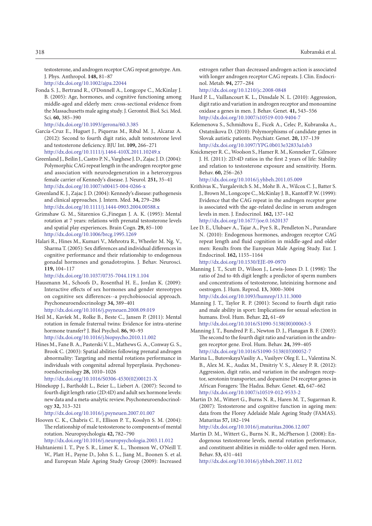testosterone, and androgen receptor CAG repeat genotype. Am. J. Phys. Anthropol. **148,** 81–87

<http://dx.doi.org/10.1002/ajpa.22044>

Fonda S. J., Bertrand R., O'Donnell A., Longcope C., McKinlay J. B. (2005): Age, hormones, and cognitive functioning among middle-aged and elderly men: cross-sectional evidence from the Massachusetts male aging study. J. Gerontol. Biol. Sci. Med. Sci. **60,** 385–390

<http://dx.doi.org/10.1093/gerona/60.3.385>

- García-Cruz E., Huguet J., Piqueras M., Ribal M. J., Alcaraz A. (2012): Second to fourth digit ratio, adult testosterone level and testosterone deficiency. BJU Int. **109,** 266–271 <http://dx.doi.org/10.1111/j.1464-410X.2011.10249.x>
- Greenland J., Beilin J., Castro P. N., Varghese J. D., Zajac J. D. (2004): Polymorphic CAG repeat length in the androgen receptor gene and association with neurodegeneration in a heterozygous female carrier of Kennedy's disease. J. Neurol. **251,** 35–41 <http://dx.doi.org/10.1007/s00415-004-0266-x>
- Greenland K. J., Zajac J. D. (2004): Kennedy's disease: pathogenesis and clinical approaches. J. Intern. Med. **34,** 279–286 <http://dx.doi.org/10.1111/j.1444-0903.2004.00588.x>
- Grimshaw G. M., Sitarenios G.,Finegan J. A. K. (1995): Mental rotation at 7 years: relations with prenatal testosterone levels and spatial play experiences. Brain Cogn. **29,** 85–100 <http://dx.doi.org/10.1006/brcg.1995.1269>
- Halari R., Hines M., Kumari V., Mehrotra R., Wheeler M. Ng. V., Sharma T. (2005): Sex differences and individual differences in cognitive performance and their relationship to endogenous gonadal hormones and gonadotropins. J. Behav. Neurosci. **119,** 104–117

<http://dx.doi.org/10.1037/0735-7044.119.1.104>

- Hausmann M., Schoofs D., Rosenthal H. E., Jordan K. (2009): Interactive effects of sex hormones and gender stereotypes on cognitive sex differences--a psychobiosocial approach. Psychoneuroendocrinology **34,** 389–401 <http://dx.doi.org/10.1016/j.psyneuen.2008.09.019>
- Heil M., Kavšek M., Rolke B., Beste C., Jansen P. (2011): Mental rotation in female fraternal twins: Evidence for intra-uterine hormone transfer? J. Biol Psychol. **86,** 90–93 <http://dx.doi.org/10.1016/j.biopsycho.2010.11.002>
- Hines M., Fane B. A., Pasterski V. L., Mathews G. A., Conway G. S., Brook C. (2003): Spatial abilities following prenatal androgen abnormality: Targeting and mental rotations performance in individuals with congenital adrenal hyperplasia. Psychoneuroendocrinology **28,** 1010–1026

[http://dx.doi.org/10.1016/S0306-4530\(02\)00121-X](http://dx.doi.org/10.1016/S0306-4530%2802%2900121-X)

Hönekopp J., Bartholdt L., Beier L., Liebert A. (2007): Second to fourth digit length ratio (2D:4D) and adult sex hormone levels: new data and a meta-analytic review. Psychoneuroendocrinology **32,** 313–321

<http://dx.doi.org/10.1016/j.psyneuen.2007.01.007>

Hooven C. K., Chabris C. F., Ellison P. T., Kosslyn S. M. (2004): The relationship of male testosterone to components of mental rotation. Neuropsychologia **42,** 782–790

<http://dx.doi.org/10.1016/j.neuropsychologia.2003.11.012>

Huhtaniemi I. T., Pye S. R., Limer K. L., Thomson W., O'Neill T. W., Platt H., Payne D., John S. L., Jiang M., Boonen S. et al. and European Male Ageing Study Group (2009): Increased

estrogen rather than decreased androgen action is associated with longer androgen receptor CAG repeats. J. Clin. Endocrinol. Metab. **94,** 277–284

<http://dx.doi.org/10.1210/jc.2008-0848>

- Hurd P. L., Vaillancourt K. L., Dinsdale N. L. (2010): Aggression, digit ratio and variation in androgen receptor and monoamine oxidase a genes in men. J. Behav. Genet. **41,** 543–556 <http://dx.doi.org/10.1007/s10519-010-9404-7>
- Kelemenova S., Schmidtova E., Ficek A., Celec P., Kubranska A., Ostatnikova D. (2010): Polymorphisms of candidate genes in Slovak autistic patients. Psychiatr. Genet. **20,** 137–139 <http://dx.doi.org/10.1097/YPG.0b013e32833a1eb3>
- Knickmeyer R. C., Woolson S., Hamer R. M., Konneker T., Gilmore J. H. (2011): 2D:4D ratios in the first 2 years of life: Stability and relation to testosterone exposure and sensitivity. Horm. Behav. **60,** 256–263

<http://dx.doi.org/10.1016/j.yhbeh.2011.05.009>

- Krithivas K., Yurgalevitch S. M., Mohr B. A., Wilcox C. J., Batter S. J., Brown M., Longcope C., McKinlay J. B., Kantoff P. W. (1999): Evidence that the CAG repeat in the androgen receptor gene is associated with the age-related decline in serum androgen levels in men. J. Endocrinol. **162,** 137–142 <http://dx.doi.org/10.1677/joe.0.1620137>
- Lee D. E., Ulubaev A., Tajar A., Pye S. R., Pendleton N., Purandare N. (2010): Endogenous hormones, androgen receptor CAG repeat length and fluid cognition in middle-aged and older men: Results from the European Male Ageing Study. Eur. J. Endocrinol. **162,** 1155–1164 <http://dx.doi.org/10.1530/EJE-09-0970>
- Manning J. T., Scutt D., Wilson J., Lewis-Jones D. I. (1998): The ratio of 2nd to 4th digit length: a predictor of sperm numbers and concentrations of testosterone, luteinizing hormone and oestrogen. J. Hum. Reprod. **13,** 3000–3004 <http://dx.doi.org/10.1093/humrep/13.11.3000>
- Manning J. T., Taylor R. P. (2001): Second to fourth digit ratio and male ability in sport: Implications for sexual selection in humans. Evol. Hum. Behav. **22,** 61−69 [http://dx.doi.org/10.1016/S1090-5138\(00\)00063-5](http://dx.doi.org/10.1016/S1090-5138%2800%2900063-5)
- Manning J. T., Bundred P. E., Newton D. J., Flanagan B. F. (2003): The second to the fourth digit ratio and variation in the androgen receptor gene. Evol. Hum. Behav. **24,** 399–405 [http://dx.doi.org/10.1016/S1090-5138\(03\)00052-7](http://dx.doi.org/10.1016/S1090-5138%2803%2900052-7)
- Marina L., ButovskayaVasiliy A., Vasilyev Oleg E. L., Valentina N. B., Alex M. K., Audax M., Dmitriy V. S., Alexey P. R. (2012): Aggression, digit ratio, and variation in the androgen receptor, serotonin transporter, and dopamine D4 receptor genes in African Foragers: The Hadza. Behav. Genet. **42,** 647–662 <http://dx.doi.org/10.1007/s10519-012-9533-2>
- Martin D. M., Wittert G., Burns N. R., Haren M. T., Sugarman R. (2007): Testosterone and cognitive function in ageing men: data from the Florey Adelaide Male Ageing Study (FAMAS). Maturitas **57,** 182–194

<http://dx.doi.org/10.1016/j.maturitas.2006.12.007>

Martin D. M., Wittert G., Burns N. R., McPherson J. (2008): Endogenous testosterone levels, mental rotation performance, and constituent abilities in middle-to-older aged men. Horm. Behav. **53,** 431–441

<http://dx.doi.org/10.1016/j.yhbeh.2007.11.012>